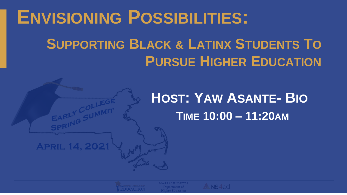## **ENVISIONING POSSIBILITIES:**

## **SUPPORTING BLACK & LATINX STUDENTS TO PURSUE HIGHER EDUCATION**

## **HOST: YAW ASANTE- BIO TIME 10:00 – 11:20AM**

**APRIL 14, 2021** 

 $\leftrightarrow$  NS4ed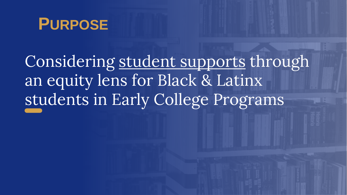

Considering student supports through an equity lens for Black & Latinx students in Early College Programs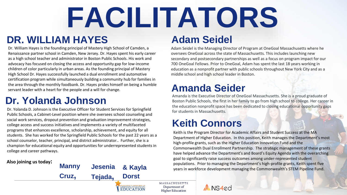# **FACILITATORS**

### **DR. WILLIAM HAYES**

Dr. William Hayes is the founding principal of Mastery High School of Camden, a Renaissance partner school in Camden, New Jersey. Dr. Hayes spent his early career as a high school teacher and administrator in Boston Public Schools. His work and advocacy has focused on closing the access and opportunity gap for low-income children of color particularly in urban areas. As the founding principal of Mastery High School Dr. Hayes successfully launched a dual enrollment and automotive certification program while simultaneously building a community hub for families in the area through the monthly foodbank. Dr. Hayes prides himself on being a humble servant leader with a heart for the people and a will for change.

### **Dr. Yolanda Johnson**

Dr. Yolanda D. Johnson is the Executive Officer for Student Services for Springfield Public Schools, a Cabinet-Level position where she oversees school counseling and social work services, dropout prevention and graduation improvement strategies, college access and success initiatives and implements a variety of multifaceted programs that enhances excellence, scholarship, achievement, and equity for all students. She has worked for the Springfield Public Schools for the past 22 years as a school counselor, teacher, principal, and district administrator.. Further, she is a champion for educational equity and opportunities for underrepresented students in college and career pathways.

#### **Also joining us today:Manny & Kayla Cruz, Dorst Tejada,** MASSACHUSETTS DEPARTMENT O<br>ELEMENTARY AND SECONDARY **EDUCATION**

### **Adam Seidel**

Adam Seidel is the Managing Director of Program at OneGoal Massachusetts where he oversees OneGoal across the state of Massachusetts. This includes launching new secondary and postsecondary partnerships as well as a focus on program impact for our 700 OneGoal Fellows. Prior to OneGoal, Adam has spent the last 18 years working in education as a nonprofit partner with public schools throughout New York City and as a middle school and high school leader in Boston.

### **Amanda Seider**

Amanda is the Executive Director of OneGoal Massachusetts. She is a proud graduate of Boston Public Schools, the first in her family to go from high school to college. Her career in the education nonprofit space has been dedicated to closing educational opportunity gaps for students in Massachusetts.

### **Keith Connors**

 $\bullet$  NS4ed

Keith is the Program Director for Academic Affairs and Student Success at the MA Department of Higher Education. In this position, Keith manages the Department's most high-profile grants, such as the Higher Education Innovation Fund and the Commonwealth Dual Enrollment Partnership. The strategic management of these grants have helped advance the Department's and Board's Equity Agenda with the overarching goal to significantly raise success outcomes among under-represented student **Jesenia & Kayla** populations. Prior to managing the Department's high-profile grants, Keith spent five vers in workforce development managing the Commonwealth's STEM Pipeline Fund.

> **MASSACHUSETTS** Department of **Higher Education**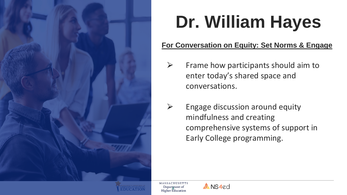

## **Dr. William Hayes**

#### **For Conversation on Equity: Set Norms & Engage**

- $\triangleright$  Frame how participants should aim to enter today's shared space and conversations.
- $\triangleright$  Engage discussion around equity mindfulness and creating comprehensive systems of support in Early College programming.

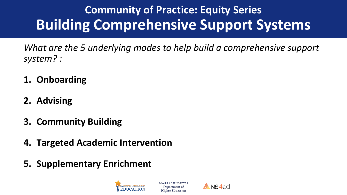## **Community of Practice: Equity Series Building Comprehensive Support Systems**

*What are the 5 underlying modes to help build a comprehensive support system? :*

- **1. Onboarding**
- **2. Advising**
- **3. Community Building**
- **4. Targeted Academic Intervention**
- **5. Supplementary Enrichment**



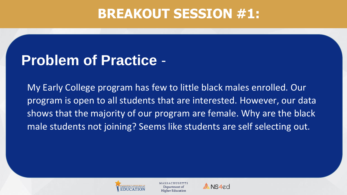### **BREAKOUT SESSION #1:**

## **Problem of Practice** -

My Early College program has few to little black males enrolled. Our program is open to all students that are interested. However, our data shows that the majority of our program are female. Why are the black male students not joining? Seems like students are self selecting out.



**Higher Education** 

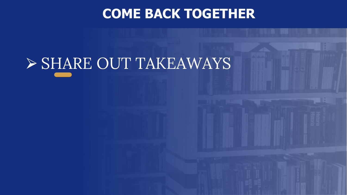### **COME BACK TOGETHER**

## ⮚ SHARE OUT TAKEAWAYS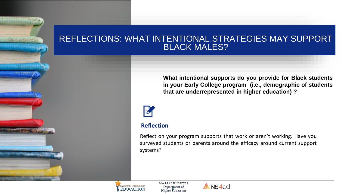#### REFLECTIONS: WHAT INTENTIONAL STRATEGIES MAY SUPPORT **BLACK MALES?**

**What intentional supports do you provide for Black students in your Early College program (i.e., demographic of students that are underrepresented in higher education) ?**



#### **Reflection**

Reflect on your program supports that work or aren't working. Have you surveyed students or parents around the efficacy around current support systems?



**STATISTICS** 

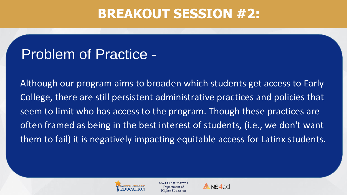### **BREAKOUT SESSION #2:**

## Problem of Practice -

Although our program aims to broaden which students get access to Early College, there are still persistent administrative practices and policies that seem to limit who has access to the program. Though these practices are often framed as being in the best interest of students, (i.e., we don't want them to fail) it is negatively impacting equitable access for Latinx students.



**Higher Education** 

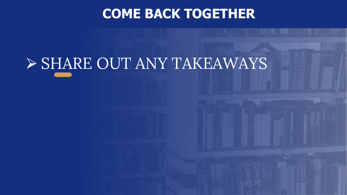### **COME BACK TOGETHER**

## ⮚ SHARE OUT ANY TAKEAWAYS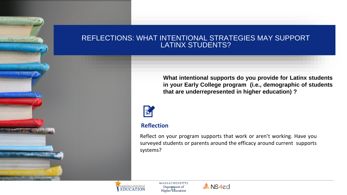#### REFLECTIONS: WHAT INTENTIONAL STRATEGIES MAY SUPPORT LATINX STUDENTS?

**What intentional supports do you provide for Latinx students in your Early College program (i.e., demographic of students that are underrepresented in higher education) ?**



#### **Reflection**

Reflect on your program supports that work or aren't working. Have you surveyed students or parents around the efficacy around current supports systems?



**SE POLITICAL AL AREA DE** 

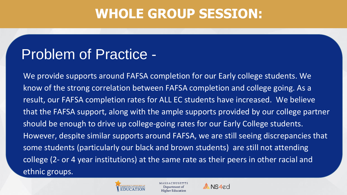### **WHOLE GROUP SESSION:**

## Problem of Practice -

We provide supports around FAFSA completion for our Early college students. We know of the strong correlation between FAFSA completion and college going. As a result, our FAFSA completion rates for ALL EC students have increased. We believe that the FAFSA support, along with the ample supports provided by our college partner should be enough to drive up college-going rates for our Early College students. However, despite similar supports around FAFSA, we are still seeing discrepancies that some students (particularly our black and brown students) are still not attending college (2- or 4 year institutions) at the same rate as their peers in other racial and ethnic groups.



Department of **Higher Education** 

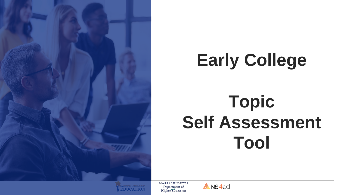

## **Early College**

## **Topic Self Assessment Tool**



**MASSACHUSETTS** Department of<br>Higher Education